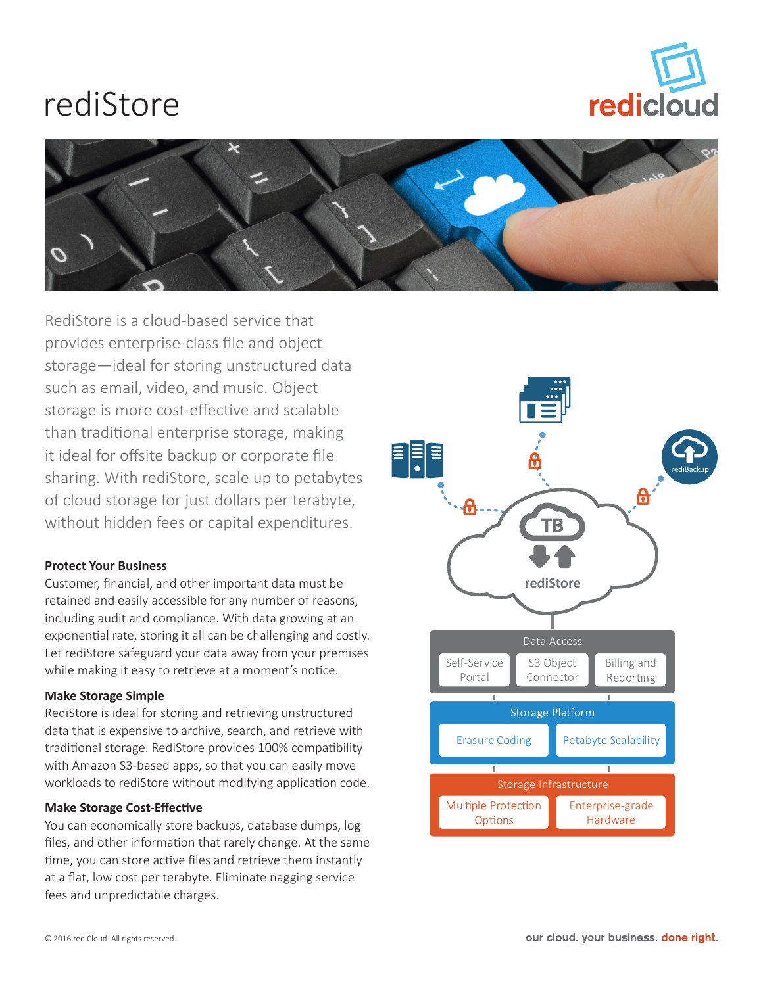# rediStore





RediStore is a cloud-based service that provides enterprise-class file and object storage—ideal for storing unstructured data such as email, video, and music. Object storage is more cost-effective and scalable than traditional enterprise storage, making it ideal for offsite backup or corporate file sharing. With rediStore, scale up to petabytes of cloud storage for just dollars per terabyte, without hidden fees or capital expenditures.

## **Protect Your Business**

Customer, financial, and other important data must be retained and easily accessible for any number of reasons, including audit and compliance. With data growing at an exponential rate, storing it all can be challenging and costly. Let rediStore safeguard your data away from your premises while making it easy to retrieve at a moment's notice.

## **Make Storage Simple**

RediStore is ideal for storing and retrieving unstructured data that is expensive to archive, search, and retrieve with traditional storage. RediStore provides 100% compatibility with Amazon S3-based apps, so that you can easily move workloads to rediStore without modifying application code.

## **Make Storage Cost-Effective**

You can economically store backups, database dumps, log files, and other information that rarely change. At the same time, you can store active files and retrieve them instantly at a flat, low cost per terabyte. Eliminate nagging service fees and unpredictable charges.